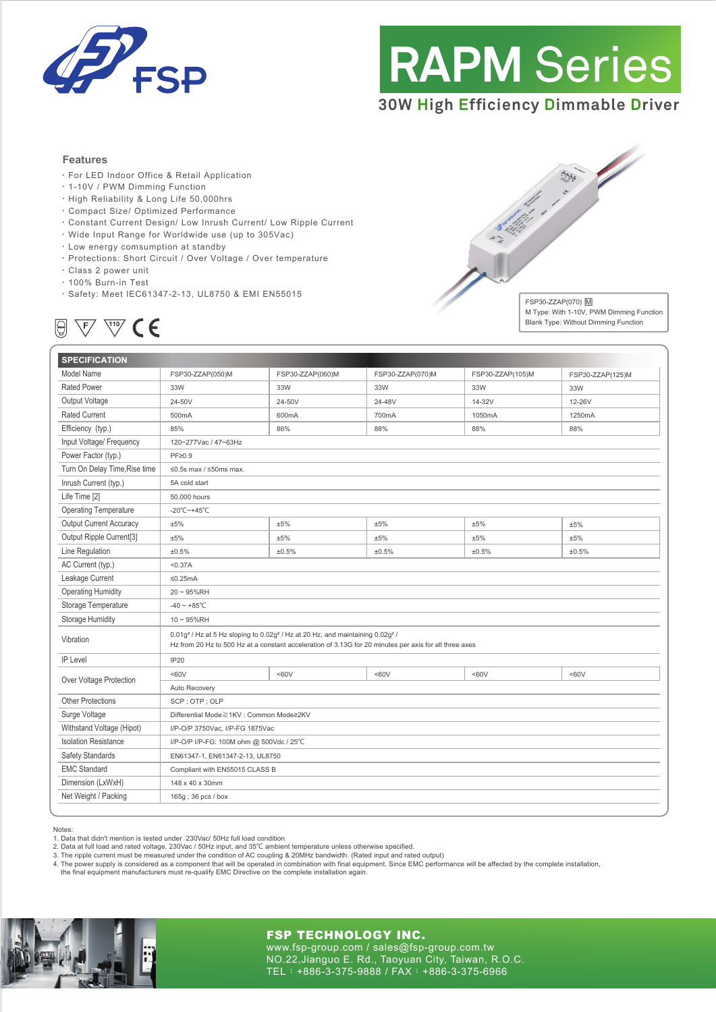

# **RAPM** Series

# **30W High Efficiency Dimmable Driver**

#### **Features**

- ‧For LED Indoor Office & Retail Application
- ‧1-10V / PWM Dimming Function
- ‧High Reliability & Long Life 50,000hrs
- ‧Compact Size/ Optimized Performance
- ‧Constant Current Design/ Low Inrush Current/ Low Ripple Current
- ‧Wide Input Range for Worldwide use (up to 305Vac)
- ‧Low energy comsumption at standby
- ‧Protections: Short Circuit / Over Voltage / Over temperature
- ‧Class 2 power unit
- ‧100% Burn-in Test
- ‧Safety: Meet IEC61347-2-13, UL8750 & EMI EN55015



FSP30-ZZAP(070) M M Type: With 1-10V, PWM Dimming Function Blank Type: Without Dimming Function

| <b>SPECIFICATION</b>           |                                                                                                                                                                                                                             |                  |                  |                  |                  |
|--------------------------------|-----------------------------------------------------------------------------------------------------------------------------------------------------------------------------------------------------------------------------|------------------|------------------|------------------|------------------|
| Model Name                     | FSP30-ZZAP(050)M                                                                                                                                                                                                            | FSP30-ZZAP(060)M | FSP30-ZZAP(070)M | FSP30-ZZAP(105)M | FSP30-ZZAP(125)M |
| <b>Rated Power</b>             | 33W                                                                                                                                                                                                                         | 33W              | 33W              | 33W              | 33W              |
| Output Voltage                 | 24-50V                                                                                                                                                                                                                      | 24-50V           | 24-48V           | 14-32V           | 12-26V           |
| <b>Rated Current</b>           | 500mA                                                                                                                                                                                                                       | 600mA            | 700mA            | 1050mA           | 1250mA           |
| Efficiency (typ.)              | 85%                                                                                                                                                                                                                         | 86%              | 88%              | 88%              | 88%              |
| Input Voltage/ Frequency       | 120~277Vac / 47~63Hz                                                                                                                                                                                                        |                  |                  |                  |                  |
| Power Factor (typ.)            | $PF \ge 0.9$                                                                                                                                                                                                                |                  |                  |                  |                  |
| Turn On Delay Time, Rise time  | $\leq$ 0.5s max / $\leq$ 50ms max.                                                                                                                                                                                          |                  |                  |                  |                  |
| Inrush Current (typ.)          | 5A cold start                                                                                                                                                                                                               |                  |                  |                  |                  |
| Life Time [2]                  | 50,000 hours                                                                                                                                                                                                                |                  |                  |                  |                  |
| <b>Operating Temperature</b>   | -20°C~+45°C                                                                                                                                                                                                                 |                  |                  |                  |                  |
| <b>Output Current Accuracy</b> | ±5%                                                                                                                                                                                                                         | ±5%              | ±5%              | ±5%              | ±5%              |
| Output Ripple Current[3]       | ±5%                                                                                                                                                                                                                         | ±5%              | ±5%              | ±5%              | ±5%              |
| Line Regulation                | ±0.5%                                                                                                                                                                                                                       | ±0.5%            | ±0.5%            | ±0.5%            | ±0.5%            |
| AC Current (typ.)              | < 0.37A                                                                                                                                                                                                                     |                  |                  |                  |                  |
| Leakage Current                | $≤0.25mA$                                                                                                                                                                                                                   |                  |                  |                  |                  |
| <b>Operating Humidity</b>      | $20 - 95\%RH$                                                                                                                                                                                                               |                  |                  |                  |                  |
| Storage Temperature            | $-40 - +85^{\circ}C$                                                                                                                                                                                                        |                  |                  |                  |                  |
| <b>Storage Humidity</b>        | $10 \sim 95\%$ RH                                                                                                                                                                                                           |                  |                  |                  |                  |
| Vibration                      | 0.01g <sup>2</sup> / Hz at 5 Hz sloping to 0.02g <sup>2</sup> / Hz at 20 Hz, and maintaining 0.02g <sup>2</sup> /<br>Hz from 20 Hz to 500 Hz at a constant acceleration of 3.13G for 20 minutes per axis for all three axes |                  |                  |                  |                  |
| IP Level                       | IP <sub>20</sub>                                                                                                                                                                                                            |                  |                  |                  |                  |
| Over Voltage Protection        | $60V$                                                                                                                                                                                                                       | <60V             | <60V             | <60V             | <60V             |
|                                | Auto Recovery                                                                                                                                                                                                               |                  |                  |                  |                  |
| <b>Other Protections</b>       | SCP; OTP; OLP                                                                                                                                                                                                               |                  |                  |                  |                  |
| Surge Voltage                  | Differential Mode≧1KV : Common Mode≥2KV                                                                                                                                                                                     |                  |                  |                  |                  |
| Withstand Voltage (Hipot)      | I/P-O/P 3750Vac, I/P-FG 1875Vac                                                                                                                                                                                             |                  |                  |                  |                  |
| <b>Isolation Resistance</b>    | I/P-O/P I/P-FG: 100M ohm @ 500Vdc / 25°C                                                                                                                                                                                    |                  |                  |                  |                  |
| Safety Standards               | EN61347-1, EN61347-2-13, UL8750                                                                                                                                                                                             |                  |                  |                  |                  |
| <b>EMC Standard</b>            | Compliant with EN55015 CLASS B                                                                                                                                                                                              |                  |                  |                  |                  |
| Dimension (LxWxH)              | 148 x 40 x 30mm                                                                                                                                                                                                             |                  |                  |                  |                  |
| Net Weight / Packing           | 165g; 36 pcs / box                                                                                                                                                                                                          |                  |                  |                  |                  |

**Notes** 

1. Data that didn't mention is tested under 230Vac/ 50Hz full load condition

2. Data at full load and rated voltage, 230Vac / 50Hz input, and 35℃ ambient temperature unless otherwise specified.

3. The ripple current must be measured under the condition of AC coupling & 20MHz bandwidth. (Rated input and rated output)<br>4. The power supply is considered as a component that will be operated in combination with final e

the final equipment manufacturers must re-qualify EMC Directive on the complete installation again.



### FSP TECHNOLOGY INC.

www.fsp-group.com / sales@fsp-group.com.tw NO.22,Jianguo E. Rd., Taoyuan City, Taiwan, R.O.C. TEL:+886-3-375-9888 / FAX:+886-3-375-6966